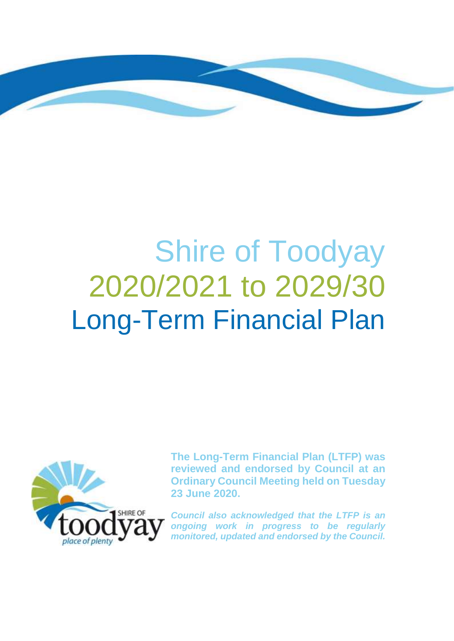

# Shire of Toodyay 2020/2021 to 2029/30 Long-Term Financial Plan



**The Long-Term Financial Plan (LTFP) was reviewed and endorsed by Council at an Ordinary Council Meeting held on Tuesday 23 June 2020.**

*Council also acknowledged that the LTFP is an ongoing work in progress to be regularly monitored, updated and endorsed by the Council.*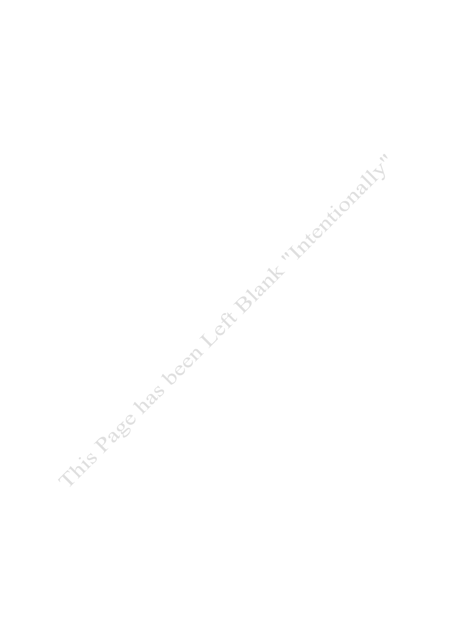This Page has been Left Blanch intrealignation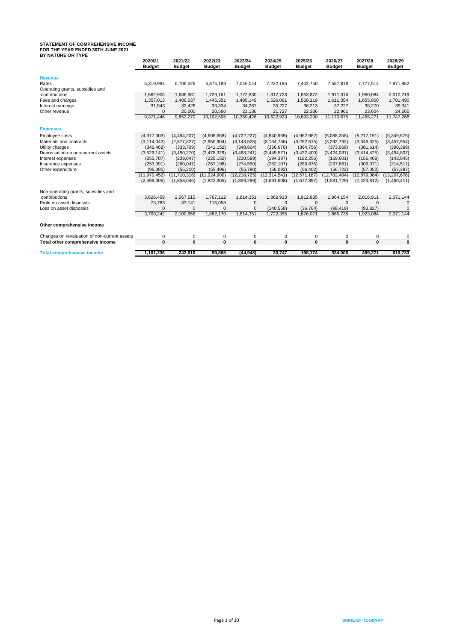# **STATEMENT OF COMPREHENSIVE INCOME FOR THE YEAR ENDED 30TH JUNE 2021 BY NATURE OR TYPE**

| ם ונואו טוש באווירים                         | 2020/21<br><b>Budget</b> | 2021/22<br><b>Budget</b> | 2022/23<br><b>Budget</b> | 2023/24<br><b>Budget</b> | 2024/25<br><b>Budget</b> | 2025/26<br><b>Budget</b> | 2026/27<br><b>Budget</b> | 2027/28<br><b>Budget</b> | 2028/29<br><b>Budget</b> |
|----------------------------------------------|--------------------------|--------------------------|--------------------------|--------------------------|--------------------------|--------------------------|--------------------------|--------------------------|--------------------------|
| <b>Revenue</b>                               |                          |                          |                          |                          |                          |                          |                          |                          |                          |
| Rates<br>Operating grants, subsidies and     | 6,319,984                | 6,706,526                | 6,874,189                | 7,046,044                | 7,222,195                | 7,402,750                | 7,587,818                | 7,777,514                | 7,971,952                |
| contributions                                | 1,662,906                | 1,686,681                | 1,729,161                | 1,772,830                | 1,817,723                | 1,863,872                | 1,911,314                | 1,960,084                | 2,010,219                |
| Fees and charges                             | 1,357,013                | 1,406,637                | 1,445,351                | 1,485,149                | 1,526,061                | 1,568,119                | 1,611,354                | 1,655,800                | 1,701,490                |
| Interest earnings                            | 31,543                   | 32,426                   | 33,334                   | 34.267                   | 35,227                   | 36,213                   | 37,227                   | 38,270                   | 39,341                   |
| Other revenue                                | $\Omega$                 | 20,000                   | 20,560                   | 21,136                   | 21,727                   | 22,336                   | 22,961                   | 23,604                   | 24,265                   |
|                                              | 9,371,446                | 9,852,270                | 10,102,595               | 10,359,426               | 10,622,933               | 10,893,290               | 11,170,675               | 11,455,271               | 11,747,268               |
| <b>Expenses</b>                              |                          |                          |                          |                          |                          |                          |                          |                          |                          |
| Employee costs                               | (4,377,003)              | (4,494,207)              | (4,606,668)              | (4,722,227)              | (4,840,969)              | (4,962,982)              | (5,088,358)              | (5,217,191)              | (5,349,576)              |
| Materials and contracts                      | (3, 114, 042)            | (2,877,827)              | (2,950,904)              | (3, 143, 525)            | (3, 134, 736)            | (3,282,515)              | (3,292,762)              | (3,346,325)              | (3,457,954)              |
| Utility charges                              | (346, 468)               | (333,709)                | (341, 152)               | (348, 804)               | (356, 670)               | (364, 756)               | (373,068)                | (381, 614)               | (390, 398)               |
| Depreciation on non-current assets           | (3,529,141)              | (3,450,270)              | (3,478,329)              | (3,463,241)              | (3,449,571)              | (3,432,400)              | (3,424,031)              | (3,414,425)              | (3,494,807)              |
| Interest expenses                            | (255, 707)               | (239, 047)               | (225, 152)               | (210, 589)               | (194, 397)               | (182, 256)               | (169, 601)               | (156, 408)               | (143, 045)               |
| Insurance expenses                           | (253,091)                | (260, 047)               | (267, 198)               | (274, 550)               | (282, 107)               | (289, 875)               | (297, 861)               | (306, 071)               | (314, 511)               |
| Other expenditure                            | (95,000)                 | (55, 210)                | (55, 496)                | (55,790)                 | (56,092)                 | (56, 402)                | (56, 722)                | (57,050)                 | (57, 387)                |
|                                              | (11, 970, 452)           | (11, 710, 316)           | (11, 924, 900)           | (12, 218, 725)           | (12, 314, 541)           | (12.571.187)             | (12, 702, 404)           | (12, 879, 084)           | (13, 207, 678)           |
|                                              | (2,599,006)              | (1,858,046)              | (1,822,305)              | (1,859,299)              | (1,691,608)              | (1,677,897)              | (1,531,729)              | (1,423,812)              | (1,460,411)              |
| Non-operating grants, subsidies and          |                          |                          |                          |                          |                          |                          |                          |                          |                          |
| contributions                                | 3,626,459                | 2,067,515                | 1,767,112                | 1,814,351                | 1,862,913                | 1,912,835                | 1,964,154                | 2,016,911                | 2,071,144                |
| Profit on asset disposals                    | 73.783                   | 33,141                   | 115,058                  | 0                        | $\Omega$                 | $\Omega$                 | $\Omega$                 | $\Omega$                 | 0                        |
| Loss on asset disposals                      | $\Omega$                 | $\Omega$                 | $\Omega$                 | $\Omega$                 | (140, 558)               | (36, 764)                | (98, 419)                | (93, 827)                | $\Omega$                 |
|                                              | 3,700,242                | 2,100,656                | 1,882,170                | 1,814,351                | 1,722,355                | 1,876,071                | 1,865,735                | 1,923,084                | 2,071,144                |
| Other comprehensive income                   |                          |                          |                          |                          |                          |                          |                          |                          |                          |
| Changes on revaluation of non-current assets | 0                        | 0                        | 0                        | 0                        | 0                        | 0                        | 0                        | 0                        | 0                        |
| Total other comprehensive income             | $\overline{0}$           | $\overline{0}$           | $\overline{0}$           | $\overline{\mathbf{0}}$  | $\overline{0}$           | $\overline{0}$           | $\overline{0}$           | $\overline{0}$           | $\overline{0}$           |
| <b>Total comprehensive income</b>            | 1,101,236                | 242,610                  | 59.865                   | (44, 948)                | 30.747                   | 198.174                  | 334.006                  | 499.271                  | 610,733                  |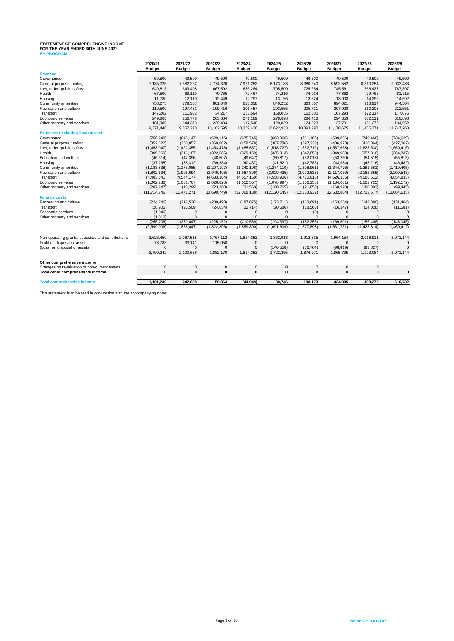## **STATEMENT OF COMPREHENSIVE INCOME FOR THE YEAR ENDED 30TH JUNE 2021 BY PROGRAM**

|                                                   | 2020/21<br><b>Budget</b> | 2021/22<br><b>Budget</b> | 2022/23<br><b>Budget</b> | 2023/24<br><b>Budget</b> | 2024/25<br><b>Budget</b> | 2025/26<br><b>Budget</b> | 2026/27<br><b>Budget</b> | 2027/28<br><b>Budget</b> | 2028/29<br><b>Budget</b> |
|---------------------------------------------------|--------------------------|--------------------------|--------------------------|--------------------------|--------------------------|--------------------------|--------------------------|--------------------------|--------------------------|
| <b>Revenue</b>                                    |                          |                          |                          |                          |                          |                          |                          |                          |                          |
| Governance                                        | 59,500                   | 49,500                   | 49,500                   | 49,500                   | 49,500                   | 49,500                   | 49,500                   | 49,500                   | 49,500                   |
| General purpose funding                           | 7,135,025                | 7,582,262                | 7,774,320                | 7.971.252                | 8,173,183                | 8,380,240                | 8,592,552                | 8,810,254                | 9,033,483                |
| Law, order, public safety                         | 649,813                  | 649,408                  | 667,592                  | 686,284                  | 705,500                  | 725,254                  | 745,561                  | 766,437                  | 787,897                  |
| Health                                            | 67,500                   | 69,110                   | 70,765                   | 72,467                   | 74,216                   | 76,014                   | 77,862                   | 79,762                   | 81,715                   |
| Housing                                           | 11,780                   | 12,110                   | 12,449                   | 12,797                   | 13,156                   | 13,524                   | 13,903                   | 14,292                   | 14,692                   |
| Community amenities                               | 758,275                  | 779,367                  | 801,049                  | 823,338                  | 846,252                  | 869,807                  | 894,021                  | 918,914                  | 944,504                  |
| Recreation and culture                            | 110,500                  | 197,431                  | 199,416                  | 201,457                  | 203,555                  | 205,711                  | 207,928                  | 210,208                  | 212,551                  |
| Transport                                         | 147,202                  | 111,932                  | 34,217                   | 153,594                  | 158,035                  | 162,600                  | 167,293                  | 172,117                  | 177,076                  |
| Economic services                                 | 249.866                  | 256,778                  | 263,884                  | 271,189                  | 278,698                  | 286.418                  | 294,353                  | 302,511                  | 310,898                  |
| Other property and services                       | 181,985                  | 144,373                  | 229,404                  | 117,548                  | 120,839                  | 124,223                  | 127,701                  | 131,276                  | 134,952                  |
|                                                   | 9.371.446                | 9,852,270                | 10.102.595               | 10.359.426               | 10,622,933               | 10,893,290               | 11,170,675               | 11,455,271               | 11,747,268               |
| <b>Expenses excluding finance costs</b>           |                          |                          |                          |                          |                          |                          |                          |                          |                          |
| Governance                                        | (756, 240)               | (643, 147)               | (629, 116)               | (675, 745)               | (663,066)                | (711, 106)               | (699, 896)               | (749, 468)               | (734, 629)               |
| General purpose funding                           | (352, 322)               | (360, 852)               | (369, 602)               | (458, 578)               | (387, 786)               | (397, 233)               | (406, 923)               | (416, 864)               | (427,062)                |
| Law, order, public safety                         | (1,453,047)              | (1,422,355)              | (1,453,478)              | (1,485,657)              | (1,518,727)              | (1,552,712)              | (1,587,638)              | (1,623,530)              | (1,660,415)              |
| Health                                            | (309, 960)               | (316, 187)               | (322, 585)               | (329, 159)               | (335, 913)               | (342, 853)               | (349, 983)               | (357, 310)               | (364.837)                |
| Education and welfare                             | (46, 314)                | (47, 396)                | (48, 507)                | (49, 647)                | (50, 817)                | (52,018)                 | (53,250)                 | (54, 515)                | (55, 813)                |
| Housing                                           | (37, 268)                | (38, 312)                | (39, 384)                | (40, 487)                | (41, 621)                | (42, 786)                | (43,984)                 | (45, 216)                | (46, 482)                |
| Community amenities                               | (1, 183, 838)            | (1, 175, 085)            | (1, 207, 197)            | (1, 240, 198)            | (1,274,110)              | (1,308,961)              | (1,344,776)              | (1,381,581)              | (1,419,405)              |
| Recreation and culture                            | (1,802,634)              | (1,906,694)              | (1,946,496)              | (1,987,399)              | (2,029,435)              | (2,072,635)              | (2, 117, 030)            | (2, 162, 655)            | (2,209,543)              |
| Transport                                         | (4,483,641)              | (4,544,177)              | (4,633,304)              | (4,657,150)              | (4,558,906)              | (4,710,615)              | (4,626,335)              | (4,588,512)              | (4,854,833)              |
| Economic services                                 | (1,002,236)              | (1,001,767)              | (1,026,820)              | (1,052,557)              | (1,078,997)              | (1, 106, 158)            | (1, 134, 061)            | (1, 162, 725)            | (1, 192, 172)            |
| Other property and services                       | (287, 247)               | (15, 299)                | (23, 260)                | (31, 560)                | (180, 765)               | (91, 856)                | (168, 928)               | (180, 303)               | (99, 445)                |
|                                                   | (11, 714, 746)           | (11, 471, 271)           | (11,699,749)             | (12,008,138)             | (12, 120, 145)           | (12, 388, 932)           | (12, 532, 804)           | (12, 722, 677)           | (13,064,635)             |
| <b>Finance costs</b>                              |                          |                          |                          |                          |                          |                          |                          |                          |                          |
| Recreation and culture                            | (224, 746)               | (212, 538)               | (200, 498)               | (187, 875)               | (173, 711)               | (163, 691)               | (153, 254)               | (142, 380)               | (131, 464)               |
| Transport                                         | (28, 905)                | (26, 509)                | (24, 654)                | (22, 714)                | (20, 686)                | (18, 565)                | (16, 347)                | (14, 028)                | (11,581)                 |
| Economic services                                 | (1,046)                  | 0                        | $\Omega$                 | $\Omega$                 | $\Omega$                 | (0)                      | $\mathbf{0}$             | $\Omega$                 | $\Omega$                 |
| Other property and services                       | (1,010)                  | $\Omega$                 | $\Omega$                 | $\Omega$                 | $\Omega$                 | $\Omega$                 | $\Omega$                 | $\Omega$                 | $\Omega$                 |
|                                                   | (255, 706)               | (239, 047)               | (225, 152)               | (210, 589)               | (194.397)                | (182.256)                | (169, 601)               | (156, 408)               | (143, 045)               |
|                                                   | (2,599,006)              | (1,858,047)              | (1,822,306)              | (1,859,300)              | (1,691,609)              | (1,677,898)              | (1,531,731)              | (1, 423, 814)            | (1,460,412)              |
| Non-operating grants, subsidies and contributions | 3,626,459                | 2,067,515                | 1,767,112                | 1,814,351                | 1,862,913                | 1,912,835                | 1,964,154                | 2,016,911                | 2,071,144                |
| Profit on disposal of assets                      | 73,783                   | 33,141                   | 115,058                  | $\Omega$                 | $\Omega$                 | $\Omega$                 | $\Omega$                 | $\Omega$                 | $\Omega$                 |
| (Loss) on disposal of assets                      | $\Omega$                 | $\Omega$                 | $\Omega$                 | $\Omega$                 | (140, 558)               | (36, 764)                | (98, 419)                | (93, 827)                | $\mathbf 0$              |
|                                                   | 3.700.242                | 2,100,656                | 1.882.170                | 1,814,351                | 1.722.355                | 1,876,071                | 1,865,735                | 1,923,084                | 2.071.144                |
| Other comprehensive income                        |                          |                          |                          |                          |                          |                          |                          |                          |                          |
| Changes on revaluation of non-current assets      | $\mathbf 0$              | $\mathbf 0$              | 0                        | O                        | $\Omega$                 | $\Omega$                 | 0                        | 0                        |                          |
| Total other comprehensive income                  | $\overline{0}$           | $\overline{0}$           | $\Omega$                 | $\Omega$                 | $\Omega$                 | $\Omega$                 | 0                        | $\overline{0}$           | $\Omega$                 |
| <b>Total comprehensive income</b>                 | 1,101,236                | 242,609                  | 59,864                   | (44, 949)                | 30,746                   | 198,173                  | 334,005                  | 499.270                  | 610,732                  |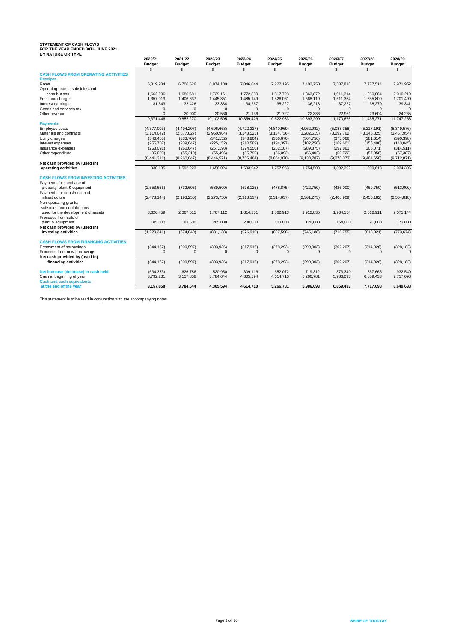# **STATEMENT OF CASH FLOWS FOR THE YEAR ENDED 30TH JUNE 2021 BY NATURE OR TYPE**

|                                             | 2020/21<br><b>Budget</b> | 2021/22<br><b>Budget</b> | 2022/23<br><b>Budget</b> | 2023/24<br><b>Budget</b> | 2024/25<br><b>Budget</b> | 2025/26<br><b>Budget</b> | 2026/27<br><b>Budget</b> | 2027/28<br><b>Budget</b> | 2028/29<br><b>Budget</b> |
|---------------------------------------------|--------------------------|--------------------------|--------------------------|--------------------------|--------------------------|--------------------------|--------------------------|--------------------------|--------------------------|
| <b>CASH FLOWS FROM OPERATING ACTIVITIES</b> | s                        | s                        | $\mathsf{s}$             | s                        | s                        | s                        | $\mathsf{s}$             | \$                       | s                        |
| <b>Receipts</b>                             |                          |                          |                          |                          |                          |                          |                          |                          |                          |
|                                             | 6,319,984                | 6,706,526                | 6,874,189                | 7,046,044                | 7,222,195                | 7,402,750                | 7,587,818                | 7,777,514                | 7,971,952                |
| Rates<br>Operating grants, subsidies and    |                          |                          |                          |                          |                          |                          |                          |                          |                          |
| contributions                               |                          |                          |                          |                          |                          |                          |                          |                          |                          |
|                                             | 1,662,906                | 1,686,681                | 1,729,161                | 1,772,830                | 1,817,723                | 1,863,872                | 1,911,314                | 1,960,084                | 2,010,219                |
| Fees and charges                            | 1,357,013                | 1,406,637                | 1,445,351                | 1,485,149                | 1,526,061                | 1,568,119                | 1,611,354                | 1,655,800                | 1,701,490                |
| Interest earnings                           | 31,543                   | 32,426                   | 33,334                   | 34.267<br>$\Omega$       | 35.227<br>$\Omega$       | 36,213<br>$\Omega$       | 37,227<br>$\Omega$       | 38,270                   | 39,341<br>$\Omega$       |
| Goods and services tax                      | $\mathbf 0$<br>$\Omega$  | $\Omega$                 | $\Omega$                 |                          |                          |                          |                          | $\Omega$                 |                          |
| Other revenue                               |                          | 20,000                   | 20,560                   | 21,136                   | 21,727                   | 22,336                   | 22,961                   | 23,604                   | 24,265                   |
|                                             | 9,371,446                | 9,852,270                | 10,102,595               | 10,359,426               | 10,622,933               | 10,893,290               | 11,170,675               | 11,455,271               | 11,747,268               |
| <b>Payments</b>                             |                          |                          |                          |                          |                          |                          |                          |                          |                          |
| Employee costs                              | (4,377,003)              | (4,494,207)              | (4,606,668)              | (4, 722, 227)            | (4,840,969)              | (4,962,982)              | (5,088,358)              | (5,217,191)              | (5,349,576)              |
| Materials and contracts                     | (3, 114, 042)            | (2,877,827)              | (2,950,904)              | (3, 143, 525)            | (3, 134, 736)            | (3,282,515)              | (3, 292, 762)            | (3,346,325)              | (3, 457, 954)            |
| Utility charges                             | (346, 468)               | (333,709)                | (341, 152)               | (348, 804)               | (356, 670)               | (364, 756)               | (373,068)                | (381, 614)               | (390, 398)               |
| Interest expenses                           | (255, 707)               | (239, 047)               | (225, 152)               | (210, 589)               | (194, 397)               | (182, 256)               | (169, 601)               | (156, 408)               | (143, 045)               |
| Insurance expenses                          | (253,091)                | (260, 047)               | (267, 198)               | (274, 550)               | (282, 107)               | (289, 875)               | (297, 861)               | (306, 071)               | (314, 511)               |
| Other expenditure                           | (95,000)                 | (55, 210)                | (55, 496)                | (55, 790)                | (56,092)                 | (56, 402)                | (56, 722)                | (57,050)                 | (57, 387)                |
|                                             | (8,441,311)              | (8,260,047)              | (8,446,571)              | (8,755,484)              | (8,864,970)              | (9, 138, 787)            | (9, 278, 373)            | (9,464,658)              | (9,712,871)              |
| Net cash provided by (used in)              |                          |                          |                          |                          |                          |                          |                          |                          |                          |
| operating activities                        | 930.135                  | 1.592.223                | 1,656,024                | 1.603.942                | 1.757.963                | 1,754,503                | 1,892,302                | 1.990.613                | 2,034,396                |
| <b>CASH FLOWS FROM INVESTING ACTIVITIES</b> |                          |                          |                          |                          |                          |                          |                          |                          |                          |
| Payments for purchase of                    |                          |                          |                          |                          |                          |                          |                          |                          |                          |
| property, plant & equipment                 | (2,553,656)              | (732, 605)               | (589, 500)               | (678, 125)               | (478, 875)               | (422, 750)               | (426,000)                | (469, 750)               | (513,000)                |
| Payments for construction of                |                          |                          |                          |                          |                          |                          |                          |                          |                          |
| infrastructure                              | (2.478.144)              | (2.193.250)              | (2.273.750)              | (2.313.137)              | (2.314.637)              | (2.361.273)              | (2.408.909)              | (2.456.182)              | (2,504,818)              |
| Non-operating grants,                       |                          |                          |                          |                          |                          |                          |                          |                          |                          |
| subsidies and contributions                 |                          |                          |                          |                          |                          |                          |                          |                          |                          |
| used for the development of assets          | 3,626,459                | 2,067,515                | 1,767,112                | 1,814,351                | 1,862,913                | 1,912,835                | 1,964,154                | 2,016,911                | 2,071,144                |
| Proceeds from sale of                       |                          |                          |                          |                          |                          |                          |                          |                          |                          |
| plant & equipment                           | 185,000                  | 183,500                  | 265,000                  | 200,000                  | 103,000                  | 126,000                  | 154,000                  | 91,000                   | 173,000                  |
| Net cash provided by (used in)              |                          |                          |                          |                          |                          |                          |                          |                          |                          |
| investing activities                        | (1,220,341)              | (674, 840)               | (831, 138)               | (976, 910)               | (827,598)                | (745, 188)               | (716, 755)               | (818, 021)               | (773, 674)               |
|                                             |                          |                          |                          |                          |                          |                          |                          |                          |                          |
| <b>CASH FLOWS FROM FINANCING ACTIVITIES</b> |                          |                          |                          |                          |                          |                          |                          |                          |                          |
| Repayment of borrowings                     | (344, 167)               | (290, 597)               | (303, 936)               | (317, 916)               | (278, 293)               | (290,003)                | (302, 207)               | (314, 926)               | (328, 182)               |
| Proceeds from new borrowings                | $\Omega$                 | $\Omega$                 | $\Omega$                 | $\Omega$                 | $\Omega$                 | $\Omega$                 | $\Omega$                 | $\Omega$                 | $\Omega$                 |
| Net cash provided by (used in)              |                          |                          |                          |                          |                          |                          |                          |                          |                          |
| financing activities                        | (344, 167)               | (290, 597)               | (303, 936)               | (317, 916)               | (278, 293)               | (290,003)                | (302, 207)               | (314, 926)               | (328, 182)               |
| Net increase (decrease) in cash held        | (634, 373)               | 626.786                  | 520.950                  | 309.116                  | 652.072                  | 719.312                  | 873,340                  | 857,665                  | 932,540                  |
| Cash at beginning of year                   | 3,792,231                | 3,157,858                | 3,784,644                | 4,305,594                | 4,614,710                | 5,266,781                | 5,986,093                | 6,859,433                | 7,717,098                |
| <b>Cash and cash equivalents</b>            |                          |                          |                          |                          |                          |                          |                          |                          |                          |
| at the end of the year                      | 3,157,858                | 3,784,644                | 4,305,594                | 4,614,710                | 5,266,781                | 5,986,093                | 6,859,433                | 7,717,098                | 8,649,638                |
|                                             |                          |                          |                          |                          |                          |                          |                          |                          |                          |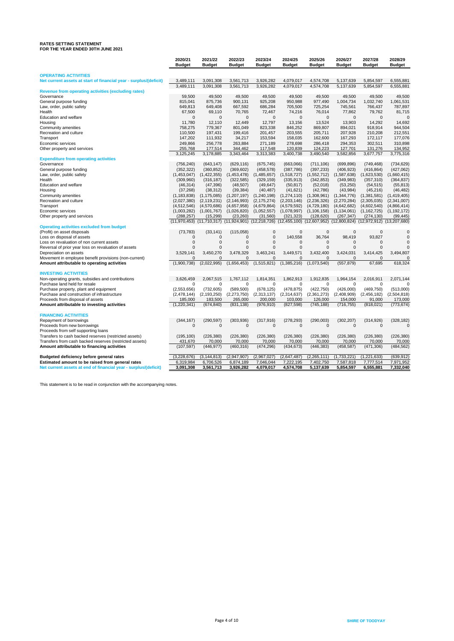### **RATES SETTING STATEMENT FOR THE YEAR ENDED 30TH JUNE 2021**

|                                                                   | 2020/21<br><b>Budget</b>                    | 2021/22<br><b>Budget</b> | 2022/23<br><b>Budget</b>    | 2023/24<br><b>Budget</b>    | 2024/25<br><b>Budget</b>     | 2025/26<br><b>Budget</b>   | 2026/27<br><b>Budget</b>   | 2027/28<br><b>Budget</b>     | 2028/29<br><b>Budget</b>    |
|-------------------------------------------------------------------|---------------------------------------------|--------------------------|-----------------------------|-----------------------------|------------------------------|----------------------------|----------------------------|------------------------------|-----------------------------|
| <b>OPERATING ACTIVITIES</b>                                       |                                             |                          |                             |                             |                              |                            |                            |                              |                             |
| Net current assets at start of financial year - surplus/(deficit) | 3,489,111                                   | 3,091,308<br>3,091,308   | 3,561,713                   | 3.926.282                   | 4.079.017                    | 4,574,708                  | 5,137,639                  | 5,854,597                    | 6,555,881                   |
| <b>Revenue from operating activities (excluding rates)</b>        | 3,489,111                                   |                          | 3,561,713                   | 3,926,282                   | 4,079,017                    | 4,574,708                  | 5,137,639                  | 5,854,597                    | 6,555,881                   |
| Governance                                                        | 59.500                                      | 49,500                   | 49.500                      | 49,500                      | 49.500                       | 49.500                     | 49.500                     | 49.500                       | 49.500                      |
| General purpose funding                                           | 815,041                                     | 875,736                  | 900,131                     | 925,208                     | 950,988                      | 977,490                    | 1,004,734                  | 1,032,740                    | 1,061,531                   |
| Law, order, public safety                                         | 649.813                                     | 649.408                  | 667.592                     | 686.284                     | 705,500                      | 725.254                    | 745,561                    | 766.437                      | 787.897                     |
| Health                                                            | 67,500                                      | 69,110                   | 70,765                      | 72,467                      | 74,216                       | 76,014                     | 77,862                     | 79,762                       | 81,715                      |
| Education and welfare                                             | $\Omega$                                    | $\Omega$                 | $\Omega$                    | $\Omega$                    | $\Omega$                     | $\Omega$                   | $\Omega$                   | $\Omega$                     | $\Omega$                    |
| Housing                                                           | 11,780                                      | 12,110                   | 12,449                      | 12,797                      | 13,156                       | 13,524                     | 13,903                     | 14,292                       | 14,692                      |
| Community amenities                                               | 758,275                                     | 779,367                  | 801.049                     | 823,338                     | 846.252                      | 869.807                    | 894.021                    | 918.914                      | 944,504                     |
| Recreation and culture                                            | 110,500                                     | 197,431                  | 199,416                     | 201,457                     | 203,555                      | 205,711                    | 207,928                    | 210,208                      | 212,551                     |
| Transport                                                         | 147,202                                     | 111,932                  | 34,217                      | 153,594                     | 158,035                      | 162,600                    | 167,293                    | 172,117                      | 177,076                     |
| Economic services                                                 | 249,866                                     | 256,778                  | 263,884                     | 271,189                     | 278,698                      | 286,418                    | 294,353                    | 302,511                      | 310,898                     |
| Other property and services                                       | 255,768                                     | 177,514                  | 344,462                     | 117,548                     | 120,839                      | 124,223                    | 127,701                    | 131,276                      | 134,952                     |
|                                                                   | 3,125,245                                   | 3,178,885                | 3,343,464                   | 3,313,383                   | 3,400,738                    | 3,490,540                  | 3,582,856                  | 3,677,757                    | 3,775,316                   |
| <b>Expenditure from operating activities</b>                      |                                             |                          |                             |                             |                              |                            |                            |                              |                             |
| Governance                                                        | (756, 240)                                  | (643, 147)               | (629, 116)                  | (675, 745)                  | (663,066)                    | (711, 106)                 | (699, 896)                 | (749, 468)                   | (734, 629)                  |
| General purpose funding                                           | (352, 322)                                  | (360, 852)               | (369, 602)                  | (458, 578)                  | (387, 786)                   | (397, 233)                 | (406, 923)                 | (416, 864)                   | (427,062)                   |
| Law, order, public safety                                         | (1,453,047)                                 | (1,422,355)              | (1,453,478)                 | (1,485,657)                 | (1,518,727)                  | (1,552,712)                | (1,587,638)                | (1,623,530)                  | (1,660,415)                 |
| Health                                                            | (309, 960)                                  | (316, 187)               | (322, 585)                  | (329, 159)                  | (335, 913)                   | (342, 853)                 | (349, 983)                 | (357, 310)                   | (364, 837)                  |
| Education and welfare                                             | (46, 314)                                   | (47, 396)                | (48, 507)                   | (49, 647)                   | (50, 817)                    | (52,018)                   | (53, 250)                  | (54, 515)                    | (55, 813)                   |
| Housing                                                           | (37, 268)                                   | (38, 312)                | (39, 384)                   | (40, 487)                   | (41, 621)                    | (42, 786)                  | (43,984)                   | (45, 216)                    | (46, 482)                   |
| Community amenities                                               | (1, 183, 838)                               | (1, 175, 085)            | (1, 207, 197)               | (1,240,198)                 | (1, 274, 110)                | (1,308,961)                | (1,344,776)                | (1,381,581)                  | (1,419,405)                 |
| Recreation and culture                                            | (2,027,380)                                 | (2, 119, 231)            | (2, 146, 993)               | (2, 175, 274)               | (2,203,146)                  | (2,236,326)                | (2,270,284)                | (2,305,035)                  | (2,341,007)                 |
| Transport                                                         | (4,512,546)                                 | (4,570,686)              | (4,657,958)                 | (4,679,864)                 | (4,579,592)                  | (4,729,180)                | (4,642,682)                | (4,602,540)                  | (4,866,414)                 |
| Economic services                                                 | (1,003,282)                                 | (1,001,767)              | (1,026,820)                 | (1,052,557)                 | (1,078,997)                  | (1, 106, 158)              | (1, 134, 061)              | (1, 162, 725)                | (1, 192, 172)               |
| Other property and services                                       | (288, 257)<br>$(11,970,453)$ $(11,710,317)$ | (15, 299)                | (23, 260)<br>(11, 924, 901) | (31, 560)<br>(12, 218, 726) | (321, 323)<br>(12, 455, 100) | (128, 620)<br>(12,607,952) | (267, 347)<br>(12,800,824) | (274, 130)<br>(12, 972, 912) | (99, 445)<br>(13, 207, 680) |
| <b>Operating activities excluded from budget</b>                  |                                             |                          |                             |                             |                              |                            |                            |                              |                             |
| (Profit) on asset disposals                                       | (73, 783)                                   | (33, 141)                | (115,058)                   | $\mathbf 0$                 | $\mathbf 0$                  | 0                          | $\mathbf 0$                | $\Omega$                     | $\Omega$                    |
| Loss on disposal of assets                                        | $\mathbf 0$                                 | $\mathbf{0}$             | $\mathbf 0$                 | $\mathbf 0$                 | 140,558                      | 36,764                     | 98,419                     | 93,827                       | $\Omega$                    |
| Loss on revaluation of non current assets                         | $\Omega$                                    | $\Omega$                 | $\Omega$                    | $\Omega$                    | $\Omega$                     | $\Omega$                   | $\Omega$                   | $\Omega$                     | $\Omega$                    |
| Reversal of prior year loss on revaluation of assets              | $\Omega$                                    | $\mathbf{0}$             | $\Omega$                    | $\Omega$                    | $\mathbf 0$                  | 0                          | $\mathbf 0$                | $\Omega$                     | $\Omega$                    |
| Depreciation on assets                                            | 3.529.141                                   | 3,450,270                | 3,478,329                   | 3,463,241                   | 3,449,571                    | 3.432.400                  | 3,424,031                  | 3,414,425                    | 3,494,807                   |
| Movement in employee benefit provisions (non-current)             | O                                           | 0                        | $\Omega$                    | O                           | $\Omega$                     | <sup>0</sup>               | $\Omega$                   | $\Omega$                     | $\Omega$                    |
| Amount attributable to operating activities                       | (1,900,738)                                 | (2,022,995)              | (1,656,453)                 | (1,515,821)                 | (1, 385, 216)                | (1,073,540)                | (557, 879)                 | 67.695                       | 618.324                     |
| <b>INVESTING ACTIVITIES</b>                                       |                                             |                          |                             |                             |                              |                            |                            |                              |                             |
| Non-operating grants, subsidies and contributions                 | 3,626,459                                   | 2,067,515                | 1,767,112                   | 1,814,351                   | 1,862,913                    | 1,912,835                  | 1,964,154                  | 2,016,911                    | 2,071,144                   |
| Purchase land held for resale                                     | $\mathbf 0$                                 | $\mathbf 0$              | $\mathbf 0$                 | $\mathbf 0$                 | $\mathbf 0$                  | $\mathbf 0$                | $\mathbf 0$                | 0                            |                             |
| Purchase property, plant and equipment                            | (2,553,656)                                 | (732, 605)               | (589, 500)                  | (678, 125)                  | (478, 875)                   | (422, 750)                 | (426,000)                  | (469, 750)                   | (513,000)                   |
| Purchase and construction of infrastructure                       | (2,478,144)                                 | (2, 193, 250)            | (2,273,750)                 | (2,313,137)                 | (2,314,637)                  | (2,361,273)                | (2,408,909)                | (2,456,182)                  | (2,504,818)                 |
| Proceeds from disposal of assets                                  | 185,000                                     | 183,500                  | 265,000                     | 200,000                     | 103,000                      | 126,000                    | 154,000                    | 91,000                       | 173,000                     |
| Amount attributable to investing activities                       | (1,220,341)                                 | (674, 840)               | (831, 138)                  | (976, 910)                  | (827, 598)                   | (745, 188)                 | (716, 755)                 | (818, 021)                   | (773, 674)                  |
| <b>FINANCING ACTIVITIES</b>                                       |                                             |                          |                             |                             |                              |                            |                            |                              |                             |
| Repayment of borrowings                                           | (344, 167)                                  | (290, 597)               | (303, 936)                  | (317, 916)                  | (278, 293)                   | (290,003)                  | (302, 207)                 | (314, 926)                   | (328, 182)                  |
| Proceeds from new borrowings                                      | $\mathbf 0$                                 | $\mathbf 0$              | $\mathbf 0$                 | $\mathbf{0}$                | $\mathbf 0$                  | $\mathbf 0$                | $\mathbf 0$                | $\mathbf 0$                  | $\Omega$                    |
| Proceeds from self supporting loans                               |                                             |                          |                             |                             |                              |                            |                            |                              |                             |
| Transfers to cash backed reserves (restricted assets)             | (195, 100)                                  | (226, 380)               | (226, 380)                  | (226, 380)                  | (226, 380)                   | (226, 380)                 | (226, 380)                 | (226, 380)                   | (226, 380)                  |
| Transfers from cash backed reserves (restricted assets)           | 431,670                                     | 70,000                   | 70,000                      | 70,000                      | 70,000                       | 70,000                     | 70,000                     | 70,000                       | 70,000                      |
| Amount attributable to financing activities                       | (107, 597)                                  | (446, 977)               | (460, 316)                  | (474, 296)                  | (434, 673)                   | (446, 383)                 | (458, 587)                 | (471, 306)                   | (484, 562)                  |
| Budgeted deficiency before general rates                          | (3,228,676)                                 | (3, 144, 813)            | (2,947,907)                 | (2,967,027)                 | (2,647,487)                  | (2, 265, 111)              | 1,733,221                  | (1, 221, 633)                | (639, 912)                  |
| Estimated amount to be raised from general rates                  | 6,319,984                                   | 6,706,526                | 6,874,189                   | 7,046,044                   | 7,222,195                    | 7,402,750                  | 7,587,818                  | 7,777,514                    | 7,971,952                   |
| Net current assets at end of financial year - surplus/(deficit)   | 3,091,308                                   | 3,561,713                | 3,926,282                   | 4,079,017                   | 4,574,708                    | 5,137,639                  | 5,854,597                  | 6,555,881                    | 7,332,040                   |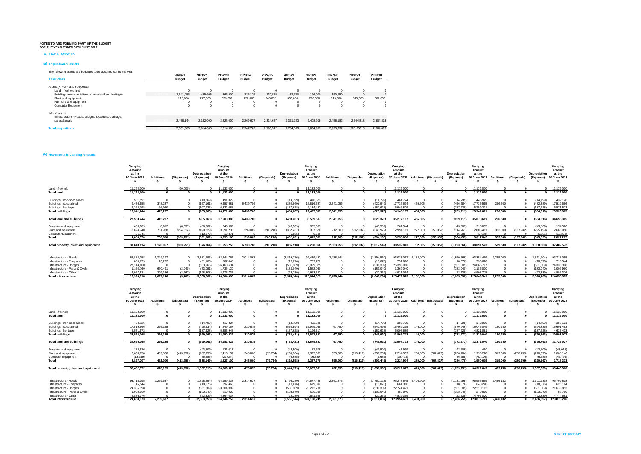### **NOTES TO AND FORMING PART OF THE BUDGET FOR THE YEAR ENDED 30TH JUNE 2021**

### **4. FIXED ASSETS** 30/06/2018

### **(a) Acquisition of Assets**

The following assets are budgeted to be acquired during the year.

| <b>Asset class</b>                                                                                                                    | 2020/21<br><b>Budget</b> | 2021/22<br><b>Budget</b> | 2022/23<br><b>Budget</b>       | 2023/24<br><b>Budget</b> | 2024/25<br><b>Budget</b> | 2025/26<br><b>Budget</b> | 2026/27<br><b>Budget</b>       | 2027/28<br><b>Budget</b>       | 2028/29<br><b>Budget</b>        | 2029/30<br><b>Budget</b> |
|---------------------------------------------------------------------------------------------------------------------------------------|--------------------------|--------------------------|--------------------------------|--------------------------|--------------------------|--------------------------|--------------------------------|--------------------------------|---------------------------------|--------------------------|
| Property, Plant and Equipment<br>Land - freehold land<br>Buildings (non-specialised, specialised and heritage)<br>Plant and equipment | 2.341.056<br>212,600     | 455,605<br>277,000       | $\Omega$<br>266,500<br>323,000 | 226.125<br>452.000       | 230,875<br>248,000       | 67.750<br>355,000        | $\Omega$<br>146,000<br>280,000 | $\Omega$<br>150,750<br>319,000 | $\Omega$<br>$\Omega$<br>513,000 | $\Omega$<br>300,000      |
| Furniture and equipment<br><b>Computer Equipment</b>                                                                                  | 0<br>$\Omega$            | $\Omega$                 | $\Omega$<br>$\Omega$           | $\Omega$<br>$\Omega$     | $\Omega$                 |                          | $\Omega$<br>$\Omega$           | $\Omega$<br>$\Omega$           | $\Omega$                        |                          |
| Infrastructure<br>Infrastructure - Roads, bridges, footpaths, drainage,<br>parks & ovals                                              | 2.478.144                | 2.182.000                | 2.225.000                      | 2.269.637                | 2.314.637                | 2.361.273                | 2.408.909                      | 2.456.182                      | 2.504.818                       | 2.504.818                |
| <b>Total acquisitions</b>                                                                                                             | 5.031.800                | 2.914.605                | 2.814.500                      | 2.947.762                | 2.793.512                | 2.784.023                | 2.834.909                      | 2.925.932                      | 3.017.818                       | 2.804.818                |

### **(b) Movements in Carrying Amounts**

|                                                          | Carrvino<br>Amount<br>at the<br>30 June 2018<br>-S | <b>Additions</b>     | (Disposals)        | Depreciation<br>(Expense) | Carrving<br>Amount<br>at the<br>30 June 2019<br>s | <b>Additions</b><br>s. | (Disposals)  | Depreciation<br>(Expense) | Carrving<br>Amount<br>at the<br>30 June 2020<br>s. | <b>Additions</b><br>s   | (Disposals)                | Depreciation<br>(Expense) | Carrying<br>Amount<br>at the<br>30 June 2021<br>$\hat{\mathbf{S}}$ | $\hat{\mathbf{S}}$   | <b>Additions (Disposals)</b> | Depreciation<br>(Expense) | Carrving<br>Amount<br>at the<br>30 June 2022<br>s | <b>Additions</b><br>$\hat{\mathbf{S}}$ | (Disposals)              | Depreciation<br>(Expense) | Carrving<br>Amount<br>at the<br>30 June 2023<br><b>s</b> |
|----------------------------------------------------------|----------------------------------------------------|----------------------|--------------------|---------------------------|---------------------------------------------------|------------------------|--------------|---------------------------|----------------------------------------------------|-------------------------|----------------------------|---------------------------|--------------------------------------------------------------------|----------------------|------------------------------|---------------------------|---------------------------------------------------|----------------------------------------|--------------------------|---------------------------|----------------------------------------------------------|
| Land - freehold                                          | 11,222,000                                         |                      | (90.000)           |                           | 11.132.000                                        |                        |              |                           | 11.132.000                                         |                         |                            |                           | 11.132.000                                                         |                      |                              | $\Omega$                  | 11.132.000                                        |                                        |                          |                           | 11.132.00                                                |
| <b>Total land</b>                                        | 11.222.000                                         | $\Omega$             |                    | $\Omega$                  | 11.132.000                                        | $\Omega$               |              | $\Omega$                  | 11.132.000                                         | $\Omega$                | $\Omega$                   | $\Omega$                  | 11.132.000                                                         | $\Omega$             | $\sqrt{2}$                   | $\Omega$                  | 11.132.000                                        | $\Omega$                               | $\Omega$                 | $\Omega$                  | 11.132.000                                               |
| Buildings - non-specialised                              | 501.591                                            | $\Omega$             |                    | (10.269)                  | 491.322                                           | $\Omega$               |              | (14.799)                  | 476,523                                            | $\Omega$                | $\Omega$                   | (14.799)                  | 461.724                                                            | $\Omega$             | $\Omega$                     | (14.799)                  | 446.925                                           | $\Omega$                               | $\Omega$                 | (14.799)                  | 432.126                                                  |
| Buildings - specialised<br>Buildings - heritage          | 9.476.555<br>6.363.098                             | 348,287<br>66.920    | $\Omega$           | (167.161)<br>(107.933)    | 9.657.681<br>6.322.085                            | 6.439.706<br>$\Omega$  | $\Omega$     | (280.860)<br>(187.628)    | 15,816,527<br>6.134.457                            | 2,341,056<br>$\sqrt{ }$ | $\Omega$<br>$\Omega$       | (420.949<br>(187.628      | 17.736.634<br>5.946.829                                            | 455.605<br>$\Omega$  | $\Omega$<br>$\Omega$         | (456.684)<br>(187.628)    | 17.735.555<br>5.759.201                           | 266,500<br>$\Omega$                    | $\Omega$<br>$\Omega$     | (482.389)<br>(187.628)    | 17,519,66<br>5.571.573                                   |
| <b>Total buildings</b>                                   | 16,341.244                                         | 415,207              | $\Omega$           | (285, 363)                | 16,471,088                                        | 6,439,706              | $\Omega$     | (483,287)                 | 22,427,507                                         | 2,341,056               | $\mathbf 0$                | (623.376)                 | 24, 145, 187                                                       | 455.605              | $\mathbf{0}$                 | (659, 111)                | 23.941.681                                        | 266,500                                | $\mathbf 0$              | (684.816)                 | 23.523.365                                               |
| <b>Total land and buildings</b>                          | 27,563,244                                         | 415,207              | $\Omega$           | (285, 363)                | 27,603,088                                        | 6,439,706              | $\mathbf{a}$ | (483,287)                 | 33,559,507                                         | 2,341,056               | $\Omega$                   | (623, 376)                | 35,277,187                                                         | 455,605              | $\Omega$                     | (659, 111)                | 35,073,681                                        | 266,500                                | $\Omega$                 | (684.816)                 | 34,655,365                                               |
| Furniture and equipment                                  | 435,089                                            | 8,912                | (8,637)            | (86, 802)                 | 348,562                                           | $\Omega$               | - 0          | (43, 509)                 | 305,053                                            | $\Omega$                |                            | (43.509)                  | 261,544                                                            | $\Omega$             | $\Omega$                     | (43.509)                  | 218,035                                           | $\Omega$                               | $\Omega$                 | (43.509)                  | 174,526                                                  |
| Plant and equipment                                      | 3.624.740                                          | 751,938              | (294.614)          | (490.829)                 | 3.591.235                                         | 299.062                | (200.240)    | (352.437)                 | 3.337.620                                          | 212,600                 | (212.137)                  | (343.972)                 | 2.994.111                                                          | 277,000              | (150.359)                    | (314.261)                 | 2.806.491                                         | 323,000                                | (167.942)                | (295.499)                 | 2.666.050                                                |
| <b>Computer Equipment</b>                                | 26.741                                             |                      |                    | (13.370)                  | 13,371                                            |                        |              | (6.685)                   | 6.686                                              |                         |                            | (6.685                    |                                                                    |                      |                              | (6.685)                   | (6.684)                                           |                                        |                          | (6.685)                   | (13.369)                                                 |
| Total                                                    | 4.086.570                                          | 760,850              | (303, 251)         | (591.001)                 | 3.953.168                                         | 299.062                | (200, 240)   | (402.631)                 | 3.649.359                                          | 212,600                 | (212.137)                  | (394.166)                 | 3.255.656                                                          | 277,000              | (150.359)                    | (364.455)                 | 3.017.842                                         | 323,000                                | (167.942)                | (345.693)                 | 2.827.207                                                |
| Total property, plant and equipment                      | 31,649,814                                         | 1,176,057            | (303, 251)         | (876, 364)                | 31,556,256                                        | 6,738,768              | (200, 240)   | (885,918)                 | 37,208,866                                         | 2,553,656               | (212, 137)                 | (1,017,542)               | 38,532,843                                                         | 732,605              | (150, 359)                   | (1,023,566)               | 38,091,523                                        | 589,500                                |                          | $(167,942)$ $(1,030,509)$ | 37,482,572                                               |
| Infrastructure - Roads                                   | 82,882,358                                         | 1,744,197            | $\Omega$           | (2,381,793)               | 82,244,762                                        | 12,014,067             | $\sqrt{2}$   | (1,819,376)               | 92,439,453                                         | 2,478,144               | $\Omega$                   | 1,894,530)                | 93,023,067                                                         | 2,182,000            | $\Omega$                     | (1,850,568)               | 93,354,499                                        | 2.225.000                              | $^{\circ}$               | (1,861,404)               | 93,718,095                                               |
| Infrastructure - Footpaths                               | 805,679                                            | 13,272               | $\Omega$           | (31.103)                  | 787,848                                           | $\Omega$               | $\Omega$     | (18,076)                  | 769,772                                            | O                       | $\Omega$                   | (18,076)                  | 751.696                                                            | $\Omega$             | $\Omega$                     | (18,076)                  | 733,620                                           |                                        | $\Omega$                 | (18,076)                  | 715,544                                                  |
| Infrastructure - Bridges                                 | 27,114,600                                         | $\Omega$             |                    | (653,966)                 | 26,460,634                                        | $\Omega$               |              | (531, 309)                | 25,929,325                                         | $\Omega$                |                            | (531, 309)                | 25,398,016                                                         | $\Omega$             | $\Omega$                     | (531, 309)                | 24,866,707                                        | $\Omega$                               | $\Omega$                 | (531, 309)                | 24,335,398                                               |
| Infrastructure - Parks & Ovals                           | 1,150,760                                          | 660,491              | (3,040)            | (73,091)                  | 1.735.120                                         | $\Omega$               | $\sqrt{2}$   | (183,040)                 | 1,552,080                                          | O                       | $\Omega$                   | (183,040)                 | 1.369.040                                                          | $^{\circ}$           | $^{\circ}$                   | (183, 040)                | 1,186,000                                         | $\Omega$                               | $^{\circ}$               | (183,040)                 | 1,002,960                                                |
| Infrastructure - Other<br><b>Total infrastructure</b>    | 4.967.52<br>116,920,918                            | 209.186<br>2,627,146 | (2.667)<br>(5,707) | (198,308<br>(3,338,261)   | 4.975.732<br>116,204,096                          | 12,014,067             |              | (22.339<br>(2,574,140)    | 4.953.393<br>125,644,023                           | 2,478,144               | $\Omega$                   | (22.339)<br>(2,649,294)   | 4.931.054<br>125,472,873 2,182,000                                 |                      | $\sqrt{2}$                   | (22.339)<br>(2,605,332)   | 4.908.715<br>125,049,541                          | 2.225.000                              |                          | (22.339)<br>0(2,616,168)  | 4.886.376<br>124,658,373                                 |
|                                                          |                                                    |                      |                    |                           |                                                   |                        |              |                           |                                                    |                         |                            |                           |                                                                    |                      |                              |                           |                                                   |                                        |                          |                           |                                                          |
|                                                          | Carrying<br>Amount<br>at the                       |                      |                    | Depreciation              | Carrying<br>Amount<br>at the                      |                        |              | Depreciation              | Carrying<br>Amount<br>at the                       |                         |                            | Depreciation              | Carrying<br>Amount<br>at the                                       |                      |                              | Depreciation              | Carrying<br>Amount<br>at the                      |                                        |                          | Depreciation              | Carrying<br>Amount<br>at the                             |
|                                                          | 30 June 2023                                       | <b>Additions</b>     | (Disposals)        | (Expense)                 | 30 June 2024                                      | <b>Additions</b>       | (Disposals)  | (Expense)                 | 30 June 2025                                       | <b>Additions</b>        | (Disposals)                | (Expense)                 | 30 June 2026                                                       | <b>Additions</b>     | (Disposals)                  | (Expense)                 | 30 June 2027                                      | <b>Additions</b>                       | (Disposals)              | (Expense)                 | 30 June 202                                              |
|                                                          |                                                    |                      | s                  |                           | s                                                 |                        |              | s                         |                                                    | s                       |                            | s                         |                                                                    |                      |                              |                           | s                                                 |                                        |                          |                           | -S                                                       |
| Land - freehold                                          | 11.132.000                                         |                      |                    |                           | 11.132.000                                        | $\Omega$               |              |                           | 11.132.000                                         | n                       |                            |                           | 11.132.000                                                         | $\Omega$             |                              | $\Omega$                  | 11.132.000                                        |                                        | $\Omega$                 | $\Omega$                  | 11.132.000                                               |
| <b>Total land</b>                                        | 11,132,000                                         | $\Omega$             |                    | $\Omega$                  | 11,132,000                                        | $\Omega$               |              | $\Omega$                  | 11,132,000                                         | $\Omega$                | $\mathbf{a}$               | $\Omega$                  | 11,132,000                                                         | $\Omega$             |                              | $\Omega$                  | 11,132,000                                        | $\Omega$                               | $\Omega$                 | $\Omega$                  | 11,132,000                                               |
| Buildings - non-specialised                              | 432,126                                            | $\Omega$             |                    | (14.799)                  | 417.327                                           | $\Omega$               | $\Omega$     | (14.799)                  | 402.528                                            | $\Omega$                | $\Omega$                   | (14.799)                  | 387,729                                                            | $\Omega$             | $\Omega$                     | (14.799)                  | 372,930                                           | $\sqrt{2}$                             | $^{\circ}$               | (14.799)                  | 358.131                                                  |
| Buildings - specialised                                  | 17.519.666                                         | 226.125              | $\Omega$           | (496.634)                 | 17.249.157                                        | 230.875                | $\Omega$     | (530.994)                 | 16,949,038                                         | 67.750                  | $\Omega$                   | (547.493)                 | 16.469.295                                                         | 146,000              | $\Omega$                     | (570.246)                 | 16.045.049                                        | 150.750                                | $\Omega$                 | (594,336)                 | 15.601.463                                               |
| Buildings - heritage<br><b>Total buildings</b>           | 5.571.573<br>23,523,365                            | 226,125              | $\Omega$           | (187.628<br>(699,061)     | 5.383.945<br>23,050,429                           | 230,875                | $\Omega$     | (187.628<br>(733, 421)    | 5.196.317<br>22,547,883                            | 67,750                  | $\sqrt{2}$<br>$\mathbf{0}$ | (187.628<br>(749, 920)    | 5.008.689<br>21,865,713                                            | $\Omega$<br>146,000  | $\Omega$<br>$\Omega$         | (187.628)<br>(772, 673)   | 4.821.06<br>21,239,040                            | $\sqrt{2}$<br>150,750                  | $\Omega$<br>$\mathbf{0}$ | (187,628<br>(796, 763)    | 4.633.433<br>20,593,027                                  |
| <b>Total land and buildings</b>                          | 34,655,365                                         | 226,125              | $^{\circ}$         | (699,061)                 | 34,182,429                                        | 230,875                | $\Omega$     | (733, 421)                | 33,679,883                                         | 67,750                  | $\Omega$                   | (749, 920)                | 32,997,713                                                         | 146,000              | $\Omega$                     | (772, 673)                | 32,371,040                                        | 150,750                                | $\mathbf{0}$             | (796, 763)                | 31,725,027                                               |
|                                                          |                                                    | $\Omega$             |                    |                           |                                                   | $\Omega$               | $\sqrt{ }$   |                           |                                                    | $\Omega$                |                            |                           |                                                                    | $\Omega$             | $\Omega$                     |                           |                                                   | $\Omega$                               | $\Omega$                 |                           |                                                          |
| Furniture and equipment<br>Plant and equipment           | 174,526<br>2.666.050                               | 452,000              | (413.958)          | (43.509)<br>(287.955)     | 131.017<br>2,416,137                              | 248,000                | (76, 764)    | (43.509)<br>(260.364)     | 87,508<br>2,327,009                                | 355,000                 | (216, 419)                 | (43, 509)<br>(251.251)    | 43,999<br>2.214.339                                                | 280,000              | (267, 827)                   | (43.509)<br>(236, 284)    | 490<br>1,990,228                                  | 319,000                                | (280, 709)               | (43.509)<br>(220.373)     | (43,019)<br>1.808.146                                    |
| Computer Equipment                                       | (13.369)                                           | $\Omega$             |                    | (6.685                    | (20, 054)                                         | $\Omega$               |              | (6,685)                   | (26, 739)                                          | $\sqrt{2}$              |                            | (6.685)                   | (33.424)                                                           | $\Omega$             |                              | (6.685)                   | (40.109)                                          | $\Omega$                               | $\Omega$                 | (6.685)                   | (46, 794)                                                |
| Total                                                    | 2,827,207                                          | 452.000              | (413.958)          | (338.149)                 | 2,527,100                                         | 248,000                | (76.764)     | (310.558)                 | 2,387,778                                          | 355,000                 | (216.419)                  | (301.445)                 | 2.224.914                                                          | 280.000              | (267.827)                    | (286.478)                 | 1.950.609                                         | 319,000                                | (280, 709)               | (270.567)                 | 1.718.333                                                |
| Total property, plant and equipment                      | 37,482,572                                         | 678.125              | (413.958)          | (1.037.210)               | 36,709,529                                        | 478.875                | (76.764)     | (1.043.979)               | 36,067,661                                         | 422.750                 | (216.419)                  | (1,051,365)               | 35.222.627                                                         | 426,000              | (267.827)                    | (1,059,151)               | 34,321,649                                        | 469,750                                | (280, 709)               | (1,067,330)               | 33,443,360                                               |
|                                                          |                                                    |                      |                    |                           |                                                   |                        |              |                           |                                                    |                         |                            |                           |                                                                    |                      |                              |                           |                                                   |                                        |                          |                           |                                                          |
| Infrastructure - Roads                                   | 93.718.095                                         | 2.269.637            |                    | (1.828.494)               | 94.159.238                                        | 2.314.637              |              | (1.796.380)               | 94.677.495                                         | 2.361.273               | $\Omega$                   | (1.760.123)               | 95.278.645                                                         | 2.408.909            | $^{\circ}$                   | (1.731.995)               | 95.955.559                                        | 2.456.182                              | $^{\circ}$               | (1.701.933)               | 96,709,808                                               |
| Infrastructure - Footpaths                               | 715,544                                            | $\Omega$             |                    | (18,076)                  | 697,468                                           | $\Omega$               | $\Omega$     | (18,076)                  | 679,392                                            | $\Omega$                | $\Omega$                   | (18,076)                  | 661,316                                                            | $\mathbf 0$          | $\Omega$                     | (18,076)                  | 643,240                                           | $\Omega$                               | $\Omega$                 | (18,076)                  | 625,164                                                  |
| Infrastructure - Bridges                                 | 24.335.398                                         | $\Omega$<br>n        | $\Omega$           | (531.309)                 | 23.804.089                                        | $\Omega$<br>$\Omega$   | $\Omega$     | (531, 309)                | 23,272,780                                         | $\Omega$<br>$\Omega$    | $\Omega$<br>$\Omega$       | (531.309)                 | 22.741.471                                                         | $\Omega$<br>$\Omega$ | $\Omega$<br>$\Omega$         | (531.309)                 | 22,210,162                                        | $\Omega$<br>$\Omega$                   | $\Omega$<br>$\Omega$     | (531.309)                 | 21,678,853                                               |
| Infrastructure - Parks & Ovals<br>Infrastructure - Other | 1,002,960<br>4.886.376                             |                      |                    | (183,040)<br>(22.339)     | 819,920<br>4.864.037                              | $\Omega$               |              | (183,040)<br>(22, 339)    | 636,880<br>4.841.698                               | $\Omega$                |                            | (183,040)<br>(22.339)     | 453,840<br>4.819.359                                               | $\Omega$             | $\Omega$                     | (183, 040)<br>(22.339)    | 270,800<br>4.797.020                              |                                        | $\Omega$                 | (183,040)<br>(22.339)     | 87,76<br>4.774.68                                        |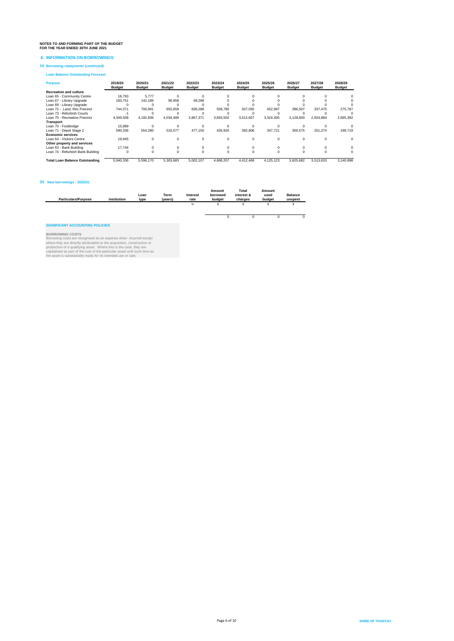### **NOTES TO AND FORMING PART OF THE BUDGET FOR THE YEAR ENDED 30TH JUNE 2021**

### **6. INFORMATION ON BORROWINGS**

**(a) Borrowing repayments (continued) Loan Balance Outstanding Forecast**

| <b>Purpose</b>                        | 2019/20<br><b>Budget</b> | 2020/21<br><b>Budget</b> | 2021/22<br><b>Budget</b> | 2022/23<br><b>Budget</b> | 2023/24<br><b>Budget</b> | 2024/25<br><b>Budget</b> | 2025/26<br><b>Budget</b> | 2026/27<br><b>Budget</b> | 2027/28<br><b>Budget</b> | 2028/29<br><b>Budget</b> |
|---------------------------------------|--------------------------|--------------------------|--------------------------|--------------------------|--------------------------|--------------------------|--------------------------|--------------------------|--------------------------|--------------------------|
| <b>Recreation and culture</b>         |                          |                          |                          |                          |                          |                          |                          |                          |                          |                          |
| Loan 65 - Community Centre            | 18.793                   | 5.777                    |                          |                          |                          |                          |                          |                          |                          |                          |
| Loan 67 - Library Upgrade             | 183.751                  | 142.186                  | 96,958                   | 49.298                   |                          |                          |                          |                          |                          |                          |
| Loan 69 - Library Upgrade             |                          |                          |                          |                          |                          |                          |                          |                          |                          |                          |
| Loan 72 - Land, Rec Precinct          | 744.371                  | 700.991                  | 655.659                  | 608.288                  | 558.785                  | 507.055                  | 452,997                  | 396,507                  | 337.475                  | 275.787                  |
| Loan 73 - Refurbish Courts            | ÷                        | n                        |                          |                          |                          | n                        |                          |                          |                          |                          |
| Loan 75 - Recreation Precinct         | 4.349.508                | 4.192.936                | 4.034.489                | 3.867.371                | 3.693.502                | 3.512.607                | 3.324.405                | 3.128.600                | 2.924.884                | 2.665.392                |
| Transport                             |                          |                          |                          |                          |                          |                          |                          |                          |                          |                          |
| Loan 70 - Footbridge                  | 15,889                   |                          |                          |                          |                          |                          |                          |                          |                          |                          |
| Loan 71 - Depot Stage 2               | 590.336                  | 554.280                  | 516,577                  | 477.150                  | 435.920                  | 392.806                  | 347.721                  | 300.575                  | 251.274                  | 199.719                  |
| <b>Economic services</b>              |                          |                          |                          |                          |                          |                          |                          |                          |                          |                          |
| Loan 64 - Visitors Centre             | 19.945                   | o                        | $\Omega$                 | o                        |                          | O                        |                          |                          |                          |                          |
| Other property and services           |                          |                          |                          |                          |                          |                          |                          |                          |                          |                          |
| Loan 63 - Bank Building               | 17.744                   |                          |                          |                          |                          | $\Omega$                 | $\Omega$                 |                          |                          |                          |
| Loan 74 - Refurbish Bank Building     |                          |                          |                          |                          |                          | $\Omega$                 | $\Omega$                 |                          |                          |                          |
| <b>Total Loan Balance Outstanding</b> | 5.940.336                | 5.596.170                | 5.303.683                | 5.002.107                | 4.688.207                | 4.412.468                | 4.125.123                | 3.825.682                | 3.513.633                | 3.140.898                |

### **(b) New borrowings - 2020/21**

| <b>Particulars/Purpose</b> | Institution | Loan<br>type | Term<br>(years) | Interest<br>rate | Amount<br>borrowed<br>budget | Total<br>interest &<br>charges | Amount<br>used<br>budget | <b>Balance</b><br>unspent |
|----------------------------|-------------|--------------|-----------------|------------------|------------------------------|--------------------------------|--------------------------|---------------------------|
|                            |             |              |                 | %                |                              |                                |                          |                           |
|                            |             |              |                 |                  |                              |                                |                          | 0                         |

### **SIGNIFICANT ACCOUNTING POLICIES**

**BORROWING COSTS**<br>Borrowing costs are recognised as an expense when incurred except<br>where they are directly attributable to the acquisition, construction or<br>production of a qualifying asset. Where this is the case, they ar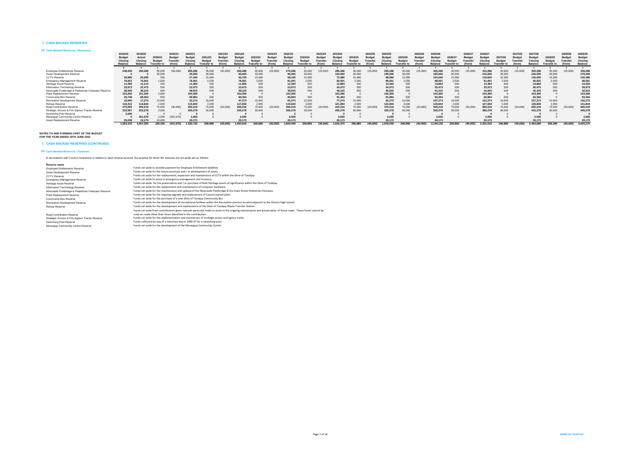### **7. CASH BACKED RESERVES**

### **(a) Cash Backed Reserves - Movement** 2019/20 2019/20 2020/21 2020/21 2021/22 2021/22 2022/23 2022/23 2023/24 2023/24 2023/24 2024/25 2024/25 2025/26 2025/26 2025/27 2026/27 2027/28 2027/28 2027/28 2028/29 2028/29 Budget Actual 2020/21 Budget Budget 2021/22 Budget Budget 2022/23 Budget Budget 2023/24 Budget Budget Budget Budget 2025/26 Budget 2026/27 Budget 2027/28 Budget Budget 2028/29 Budget Budget 2028/29 Budget Budget Budget Bud Closing Closing Budget Transfer Closing Budget Transfer Closing Budget Transfer Closing Budget Transfer Closing Budget Transfer Closing Budget Transfer Closing Budget Transfer Closing Budget Transfer Closing Budget Transfe Balance Balance Transferto (from) Balance Transferto (from) Balance Transferto (from) Balance Transferto (from) Balance Transferto (from) Balance Transferto (from) Balance Transferto (from) Balance Transferto (from) Balanc **\$ \$** \$ \$ \$ \$ \$ \$ \$ \$ \$ \$ \$ \$ \$ \$ \$ \$ \$ \$ \$ \$ \$ \$ \$ \$ \$ \$ \$ Employee Entitlements Reserve 246,949 250,286 55,000 (50,000) 255,286 35,000 (25,000) 285,286 35,000 (25,000) 275,286 35,000 (25,000 285,286 35,000 285,286 35,000 30,000 295,286 35,000 205 Asset Development Reserve **0 0** 30,000 **30,000** 30,000 **60,000** 30,000 **90,000** 30,000 **120,000** 30,000 **150,000** 30,000 **180,000** 30,000 **210,000** 30,000 **240,000** 30,000 **270,000** CCTV.Reserve 26,980 26,990 35.0 27,340 15,380 58,100 15,380 73,480 15,380 88,860 15,380 104,240 15,380 119,620 15,380 150,380 150,380 150,380 Emergency Management Reserve 76,901 1,000 76,000 76,000 78,84 500 81,000 81,000 81,000 82,000 82,000 93,000 93,000 93,000 94,000 94,000 94,000 94,000 94,000 96,000 96,000 96,000 97,000 97,000 97,000 97,000 97,000 97,000 97 Recreation Development Reserve 15,**000 17,273** 15,000 27,273 15,000 62,273 15,000 77,273 15,000 15,273 15,000 15,273 15,273 15,000 15,273 15,000 Refuse Reserve 115,312 114,844 1,000 117,844 2,000 119,844 2,000 121,844 2,000 123,844 2,000 125,844 2,000 127,844 2,000 129,844 2,000 131,844 Road Contribution Reserve 275,283 205,219 75,000 (30,000) 250,219 75,000 (20,000) 305,219 75,000 (20,000) 350,219 75,000 (20,000) 45,219 75,000 (20,000) 470,219 75,000 (20,000) 525,219 75,000 (20,000 Enveryne Reserve The to the control of the control of the control of the control of the control of the control of the control of the control of the control of the control of the control of the control of the control of th Swimming Pool Reserve **2,000 0** 0 0 **0** 0 **0** 0 **0** 0 **0** 0 **0** 0 **0** 0 **0** 0 **0** 0 **0** Morangup Community Centre Reserve **0 351,670** 2,000 (351,670) **2,000** 0 **2,000** 0 **2,000** 0 **2,000** 0 **2,000** 0 **2,000** 0 **2,000** 0 **2,000** 0 **2,000** Asset Replacement Reserve **20,038 10,173** 10,000 **20,173 20,173 20,173 20,173 20,173 20,173 20,173 20,173 20,173**

1,263,103 1,567,300 195,100 (431,670) 1,330,730 206,880 (45,000) 1,492,610 206,880 (45,000) 1,654,490 206,880 (45,000) 1,816,370 206,880 (45,000) 1,978,250 206,880 (45,000) 2,140,130 206,880 (45,000) 2,302,010 206,880 (45,0

### **NOTES TO AND FORMING PART OF THE BUDGET FOR THE YEAR ENDED 30TH JUNE 2021**

### **7. CASH BACKED RESERVES (CONTINUED)**

### **(b) Cash Backed Reserves - Purposes**

In accordance with Council resolutions in relation to each reserve account, the purpose for which the reserves are set aside are as follows:

| Reserve name                                       |                                                                                                                                                               |
|----------------------------------------------------|---------------------------------------------------------------------------------------------------------------------------------------------------------------|
| Employee Entitlements Reserve                      | Funds set aside to provide payment for Employee Entitlement liabilities                                                                                       |
| Asset Development Reserve                          | Funds set aside for the future purchase and / or development of assets                                                                                        |
| CCTV Reserve                                       | Funds set aside for the replacement, expansion and maintenance of CCTV within the Shire of Toodyay                                                            |
| <b>Emergency Management Reserve</b>                | Funds set aside to assist in emergency management and recovery                                                                                                |
| Heritage Asset Reserve                             | Funds set aside for the preservation and / or purchase of Built Heritage assets of significance within the Shire of Toodyay                                   |
| Information Technology Reserve                     | Funds set aside for the replacement and maintenance of computer hardware.                                                                                     |
| Newcastle Footbridge & Pedestrian Overpass Reserve | Funds set aside for the maintenance and upkeep of the Newcastle Footbridge & the Duke Street Pedestrian Overpass.                                             |
| Plant Replacement Reserve                          | Funds set aside for the ongoing upgrade and replacement of Council owned plant.                                                                               |
| Community Bus Reserve                              | Funds set aside for the purchase of a new Shire of Toodyay Community Bus                                                                                      |
| Recreation Development Reserve                     | Funds set aside for the development of recreational facilities within the Recreation precinct located adiacent to the District High School.                   |
| Refuse Reserve                                     | Funds set aside for the development and maintenance of the Shire of Toodyay Waste Transfer Station.                                                           |
|                                                    | Funds set aside from contributions given towards particular roads to assist in the ongoing maintenance and preservation of those roads. These funds cannot be |
| Road Contribution Reserve                          | used on roads other than those identified in the contribution.                                                                                                |
| Strategic Access & Fire Egress Tracks Reserve      | Funds set aside for the implementation and maintenanc of strategic access and egress tracks.                                                                  |
| Swimming Pool Reserve                              | Funds collected by way of a voluntary levy in 1996-97 for a swimming pool.                                                                                    |
| Morangup Community Centre Reserve                  | Funds set aside for the development of the Morangup Community Centre                                                                                          |
|                                                    |                                                                                                                                                               |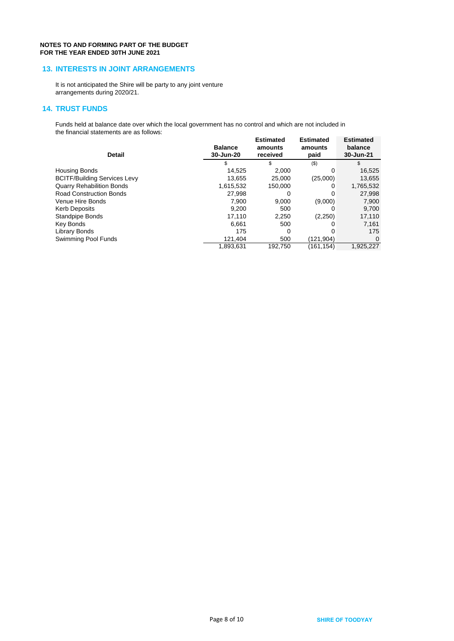### **NOTES TO AND FORMING PART OF THE BUDGET FOR THE YEAR ENDED 30TH JUNE 2021**

### **13. INTERESTS IN JOINT ARRANGEMENTS**

It is not anticipated the Shire will be party to any joint venture arrangements during 2020/21.

### **14. TRUST FUNDS**

Funds held at balance date over which the local government has no control and which are not included in the financial statements are as follows:

| <b>Detail</b>                       | <b>Balance</b><br>30-Jun-20 | <b>Estimated</b><br>amounts<br>received | <b>Estimated</b><br>amounts<br>paid | <b>Estimated</b><br>balance<br>30-Jun-21 |
|-------------------------------------|-----------------------------|-----------------------------------------|-------------------------------------|------------------------------------------|
|                                     |                             | \$                                      | $($ \$)                             | \$                                       |
| <b>Housing Bonds</b>                | 14,525                      | 2,000                                   | 0                                   | 16,525                                   |
| <b>BCITF/Building Services Levy</b> | 13,655                      | 25,000                                  | (25,000)                            | 13,655                                   |
| <b>Quarry Rehabilition Bonds</b>    | 1,615,532                   | 150.000                                 | 0                                   | 1,765,532                                |
| <b>Road Construction Bonds</b>      | 27.998                      | O                                       | 0                                   | 27,998                                   |
| Venue Hire Bonds                    | 7.900                       | 9.000                                   | (9.000)                             | 7,900                                    |
| <b>Kerb Deposits</b>                | 9,200                       | 500                                     | 0                                   | 9,700                                    |
| Standpipe Bonds                     | 17.110                      | 2,250                                   | (2,250)                             | 17,110                                   |
| Key Bonds                           | 6,661                       | 500                                     | 0                                   | 7,161                                    |
| Library Bonds                       | 175                         | 0                                       | $\Omega$                            | 175                                      |
| Swimming Pool Funds                 | 121.404                     | 500                                     | (121.904)                           | 0                                        |
|                                     | 1,893,631                   | 192.750                                 | (161,154)                           | 1,925,227                                |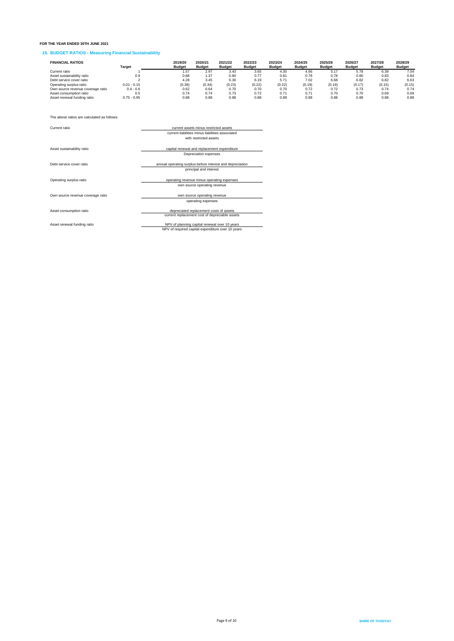### **FOR THE YEAR ENDED 30TH JUNE 2021**

### **15. BUDGET RATIOS - Measuring Financial Sustainability**

| <b>FINANCIAL RATIOS</b>           |               | 2019/20       | 2020/21       | 2021/22       | 2022/23       | 2023/24       | 2024/25       | 2025/26       | 2026/27       | 2027/28       | 2028/29       |
|-----------------------------------|---------------|---------------|---------------|---------------|---------------|---------------|---------------|---------------|---------------|---------------|---------------|
|                                   | Target        | <b>Budget</b> | <b>Budget</b> | <b>Budget</b> | <b>Budget</b> | <b>Budget</b> | <b>Budget</b> | <b>Budget</b> | <b>Budget</b> | <b>Budget</b> | <b>Budget</b> |
| Current ratio                     |               | 1.57          | 2.97          | 3.43          | 3.65          | 4.30          | 4.66          | 5.17          | 5.78          | 6.39          | 7.04          |
| Asset sustainability ratio        | 0.9           | 0.88          | 1.37          | 0.80          | 0.77          | 0.81          | 0.78          | 0.78          | 0.80          | 0.83          | 0.84          |
| Debt service cover ratio          |               | 4.28          | 3.45          | 6.30          | 6.19          | 5.71          | 7.02          | 6.68          | 6.82          | 6.82          | 6.63          |
| Operating surplus ratio           | $0.01 - 0.15$ | (0.38)        | (0.34)        | (0.23)        | (0.22)        | (0.22)        | (0.19)        | (0.19)        | (0.17)        | (0.15)        | (0.15)        |
| Own source revenue coverage ratio | $0.4 - 0.6$   | 0.62          | 0.64          | 0.70          | 0.70          | 0.70          | 0.72          | 0.72          | 0.73          | 0.74          | 0.74          |
| Asset consumption ratio           | 0.5           | 0.74          | 0.74          | 0.73          | 0.72          | 0.71          | 0.71          | 0.70          | 0.70          | 0.69          | 0.69          |
| Asset renewal funding ratio       | $0.75 - 0.95$ | 0.88          | 0.88          | 0.88          | 0.88          | 0.88          | 0.88          | 0.88          | 0.88          | 0.88          | 0.88          |

### The above ratios are calculated as follows:

| Current ratio                     | current assets minus restricted assets.                   |
|-----------------------------------|-----------------------------------------------------------|
|                                   | current liabilities minus liabilities associated          |
|                                   | with restricted assets.                                   |
| Asset sustainability ratio        | capital renewal and replacement expenditure               |
|                                   | Depreciation expenses                                     |
| Debt service cover ratio          | annual operating surplus before interest and depreciation |
|                                   | principal and interest                                    |
| Operating surplus ratio           | operating revenue minus operating expenses                |
|                                   | own source operating revenue                              |
| Own source revenue coverage ratio | own source operating revenue                              |
|                                   | operating expenses                                        |
| Asset consumption ratio           | depreciated replacement costs of assets                   |
|                                   | current replacement cost of depreciable assets            |

Asset renewal funding ratio

NPV of planning capital renewal over 10 years NPV of required capital expenditure over 10 years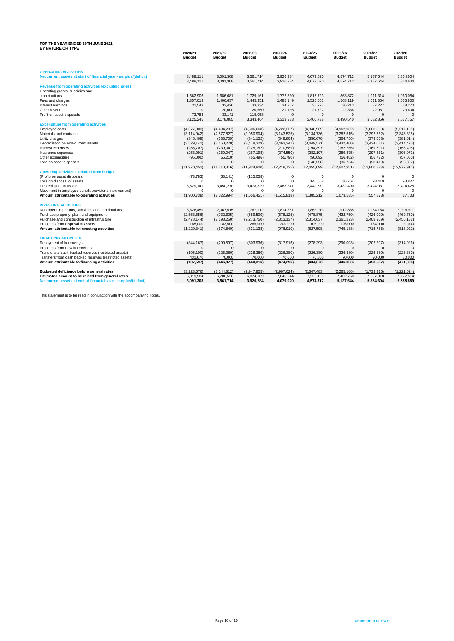### **FOR THE YEAR ENDED 30TH JUNE 2021 BY NATURE OR TYPE**

|                                                                   | 2020/21<br><b>Budget</b>   | 2021/22<br><b>Budget</b> | 2022/23<br><b>Budget</b> | 2023/24<br><b>Budget</b> | 2024/25<br><b>Budget</b> | 2025/26<br><b>Budget</b> | 2026/27<br><b>Budget</b> | 2027/28<br><b>Budget</b> |
|-------------------------------------------------------------------|----------------------------|--------------------------|--------------------------|--------------------------|--------------------------|--------------------------|--------------------------|--------------------------|
|                                                                   |                            |                          |                          |                          |                          |                          |                          |                          |
| <b>OPERATING ACTIVITIES</b>                                       |                            |                          |                          |                          |                          |                          |                          |                          |
| Net current assets at start of financial year - surplus/(deficit) | 3,489,111<br>3.489.111     | 3,091,308<br>3,091,308   | 3,561,714<br>3,561,714   | 3,926,284<br>3,926,284   | 4,079,020<br>4.079.020   | 4,574,712<br>4,574,712   | 5,137,644<br>5.137.644   | 5,854,604<br>5,854,604   |
| <b>Revenue from operating activities (excluding rates)</b>        |                            |                          |                          |                          |                          |                          |                          |                          |
| Operating grants, subsidies and                                   |                            |                          |                          |                          |                          |                          |                          |                          |
| contributions                                                     | 1,662,906                  | 1,686,681                | 1,729,161                | 1,772,830                | 1,817,723                | 1,863,872                | 1,911,314                | 1,960,084                |
| Fees and charges                                                  | 1,357,013                  | 1,406,637                | 1,445,351                | 1,485,149                | 1,526,061                | 1,568,119                | 1,611,354                | 1,655,800                |
| Interest earnings                                                 | 31,543                     | 32,426                   | 33,334                   | 34,267                   | 35,227                   | 36,213                   | 37,227                   | 38,270                   |
| Other revenue                                                     | $\mathbf 0$                | 20,000                   | 20,560                   | 21,136                   | 21,727                   | 22,336                   | 22,961                   | 23,604                   |
| Profit on asset disposals                                         | 73,783<br>3,125,245        | 33,141<br>3,178,885      | 115,058<br>3,343,464     | $\Omega$<br>3,313,383    | $\Omega$<br>3,400,738    | $\Omega$<br>3,490,540    | $\Omega$<br>3,582,856    | $\Omega$<br>3,677,757    |
| <b>Expenditure from operating activities</b>                      |                            |                          |                          |                          |                          |                          |                          |                          |
| Employee costs                                                    | (4,377,003)                | (4, 494, 207)            | (4,606,668)              | (4,722,227)              | (4,840,969)              | (4,962,982)              | (5,088,358)              | (5,217,191)              |
| Materials and contracts                                           | (3, 114, 042)              | (2,877,827)              | (2,950,904)              | (3, 143, 525)            | (3, 134, 736)            | (3,282,515)              | (3, 292, 762)            | (3,346,325)              |
| Utility charges                                                   | (346, 468)                 | (333, 709)               | (341, 152)               | (348, 804)               | (356, 670)               | (364, 756)               | (373,068)                | (381, 614)               |
| Depreciation on non-current assets                                | (3,529,141)                | (3,450,270)              | (3,478,329)              | (3,463,241)              | (3,449,571)              | (3,432,400)              | (3,424,031)              | (3,414,425)              |
| Interest expenses                                                 | (255, 707)                 | (239, 047)               | (225, 152)               | (210, 589)               | (194, 397)               | (182, 256)               | (169, 601)               | (156, 408)               |
| Insurance expenses                                                | (253,091)                  | (260, 047)               | (267, 198)               | (274, 550)               | (282, 107)               | (289, 875)               | (297, 861)               | (306, 071)               |
| Other expenditure                                                 | (95,000)                   | (55, 210)                | (55, 496)                | (55, 790)                | (56,092)                 | (56, 402)                | (56, 722)                | (57,050)                 |
| Loss on asset disposals                                           | $\Omega$<br>(11, 970, 452) | $\Omega$<br>(11,710,316) | $\Omega$<br>(11,924,900) | $\Omega$                 | (140, 558)               | (36, 764)                | (98, 419)                | (93, 827)                |
| <b>Operating activities excluded from budget</b>                  |                            |                          |                          | (12, 218, 725)           | (12, 455, 099)           | (12,607,951)             | (12,800,823)             | (12, 972, 911)           |
| (Profit) on asset disposals                                       | (73, 783)                  | (33, 141)                | (115,058)                | $\mathbf 0$              | 0                        | $\mathbf 0$              | $\mathbf 0$              | $\Omega$                 |
| Loss on disposal of assets                                        | $\mathbf 0$                | $\Omega$                 | $\Omega$                 | $\Omega$                 | 140,558                  | 36,764                   | 98,419                   | 93,827                   |
| Depreciation on assets                                            | 3,529,141                  | 3,450,270                | 3,478,329                | 3,463,241                | 3,449,571                | 3,432,400                | 3,424,031                | 3,414,425                |
| Movement in employee benefit provisions (non-current)             | $\Omega$                   | $\Omega$                 | $\Omega$                 | $\Omega$                 | 0                        | $\mathbf 0$              | 0                        | $\Omega$                 |
| Amount attributable to operating activities                       | (1,900,738)                | (2,022,994)              | (1,656,451)              | (1,515,818)              | (1,385,212)              | (1,073,535)              | (557, 873)               | 67.703                   |
| <b>INVESTING ACTIVITIES</b>                                       |                            |                          |                          |                          |                          |                          |                          |                          |
| Non-operating grants, subsidies and contributions                 | 3.626.459                  | 2,067,515                | 1,767,112                | 1,814,351                | 1,862,913                | 1,912,835                | 1,964,154                | 2.016.911                |
| Purchase property, plant and equipment                            | (2,553,656)                | (732, 605)               | (589, 500)               | (678, 125)               | (478, 875)               | (422, 750)               | (426,000)                | (469, 750)               |
| Purchase and construction of infrastructure                       | (2,478,144)                | (2, 193, 250)            | (2,273,750)              | (2,313,137)              | (2,314,637)              | (2,361,273)              | (2,408,909)              | (2,456,182)              |
| Proceeds from disposal of assets                                  | 185,000                    | 183,500                  | 265,000                  | 200,000                  | 103,000                  | 126,000                  | 154,000                  | 91,000                   |
| Amount attributable to investing activities                       | (1, 220, 341)              | (674, 840)               | (831, 138)               | (976, 910)               | (827, 598)               | (745, 188)               | (716, 755)               | (818, 021)               |
| <b>FINANCING ACTIVITIES</b>                                       |                            |                          |                          |                          |                          |                          |                          |                          |
| Repayment of borrowings                                           | (344, 167)                 | (290, 597)               | (303, 936)               | (317, 916)               | (278, 293)               | (290, 003)               | (302, 207)               | (314, 926)               |
| Proceeds from new borrowings                                      | $\Omega$                   | $\Omega$                 | $\Omega$                 | $\Omega$                 | $\Omega$                 | $\Omega$                 | $\Omega$                 |                          |
| Transfers to cash backed reserves (restricted assets)             | (195, 100)                 | (226, 380)               | (226, 380)               | (226, 380)               | (226, 380)               | (226, 380)               | (226, 380)               | (226, 380)               |
| Transfers from cash backed reserves (restricted assets)           | 431,670                    | 70,000                   | 70,000                   | 70,000                   | 70,000                   | 70,000                   | 70,000                   | 70,000                   |
| Amount attributable to financing activities                       | (107, 597)                 | (446, 977)               | (460, 316)               | (474, 296)               | (434, 673)               | (446, 383)               | (458, 587)               | (471, 306)               |
| Budgeted deficiency before general rates                          | (3,228,676)                | (3, 144, 812)            | (2,947,905)              | (2,967,024)              | (2,647,483)              | (2, 265, 106)            | (1,733,215)              | (1,221,624)              |
| Estimated amount to be raised from general rates                  | 6,319,984                  | 6,706,526                | 6.874.189                | 7.046.044                | 7.222.195                | 7.402.750                | 7.587.818                | 7.777.514                |
| Net current assets at end of financial year - surplus/(deficit)   | 3,091,308                  | 3,561,714                | 3,926,284                | 4,079,020                | 4,574,712                | 5,137,644                | 5,854,604                | 6,555,889                |